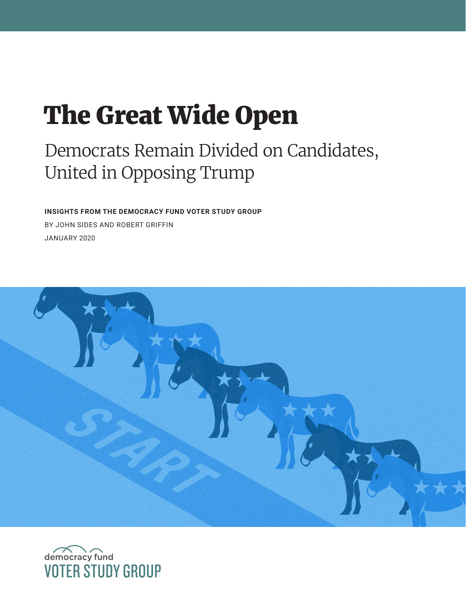# The Great Wide Open

## Democrats Remain Divided on Candidates, United in Opposing Trump

**INSIGHTS FROM THE DEMOCRACY FUND VOTER STUDY GROUP**  BY JOHN SIDES AND ROBERT GRIFFIN JANUARY 2020



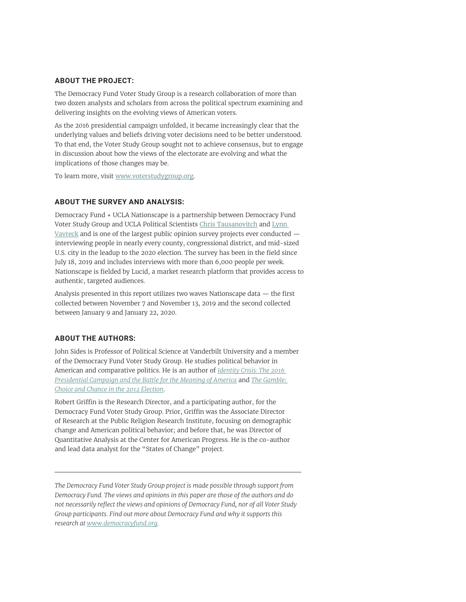#### **ABOUT THE PROJECT:**

The Democracy Fund Voter Study Group is a research collaboration of more than two dozen analysts and scholars from across the political spectrum examining and delivering insights on the evolving views of American voters.

As the 2016 presidential campaign unfolded, it became increasingly clear that the underlying values and beliefs driving voter decisions need to be better understood. To that end, the Voter Study Group sought not to achieve consensus, but to engage in discussion about how the views of the electorate are evolving and what the implications of those changes may be.

To learn more, visit [www.voterstudygroup.org](http://www.voterstudygroup.org).

#### **ABOUT THE SURVEY AND ANALYSIS:**

Democracy Fund + UCLA Nationscape is a partnership between Democracy Fund Voter Study Group and UCLA Political Scientists [Chris Tausanovitch](https://www.voterstudygroup.org/nationscape/researchers/chris-tausanovitch) and [Lynn](https://www.voterstudygroup.org/nationscape/researchers/lynn-vavreck)  [Vavreck](https://www.voterstudygroup.org/nationscape/researchers/lynn-vavreck) and is one of the largest public opinion survey projects ever conducted interviewing people in nearly every county, congressional district, and mid-sized U.S. city in the leadup to the 2020 election. The survey has been in the field since July 18, 2019 and includes interviews with more than 6,000 people per week. Nationscape is fielded by Lucid, a market research platform that provides access to authentic, targeted audiences.

Analysis presented in this report utilizes two waves Nationscape data — the first collected between November 7 and November 13, 2019 and the second collected between January 9 and January 22, 2020.

#### **ABOUT THE AUTHORS:**

John Sides is Professor of Political Science at Vanderbilt University and a member of the Democracy Fund Voter Study Group. He studies political behavior in American and comparative politics. He is an author of *[Identity Crisis: The 2016](https://www.amazon.com/Identity-Crisis-Presidential-Campaign-Meaning/dp/0691174199/ref=sr_1_1?ie=UTF8&qid=1529370596&sr=8-1&keywords=identity+crisis+vavreck)  [Presidential Campaign and the Battle for the Meaning of America](https://www.amazon.com/Identity-Crisis-Presidential-Campaign-Meaning/dp/0691174199/ref=sr_1_1?ie=UTF8&qid=1529370596&sr=8-1&keywords=identity+crisis+vavreck)* and *[The Gamble:](https://www.amazon.com/Gamble-Choice-Chance-Presidential-Election/dp/0691156883/ref=sr_1_2?s=books&ie=UTF8&qid=1378169769&sr=1-2)  [Choice and Chance in the 2012 Election](https://www.amazon.com/Gamble-Choice-Chance-Presidential-Election/dp/0691156883/ref=sr_1_2?s=books&ie=UTF8&qid=1378169769&sr=1-2)*.

Robert Griffin is the Research Director, and a participating author, for the Democracy Fund Voter Study Group. Prior, Griffin was the Associate Director of Research at the Public Religion Research Institute, focusing on demographic change and American political behavior; and before that, he was Director of Quantitative Analysis at the Center for American Progress. He is the co-author and lead data analyst for the "States of Change" project.

*The Democracy Fund Voter Study Group project is made possible through support from Democracy Fund. The views and opinions in this paper are those of the authors and do not necessarily reflect the views and opinions of Democracy Fund, nor of all Voter Study Group participants. Find out more about Democracy Fund and why it supports this research at www.democracyfund.org.*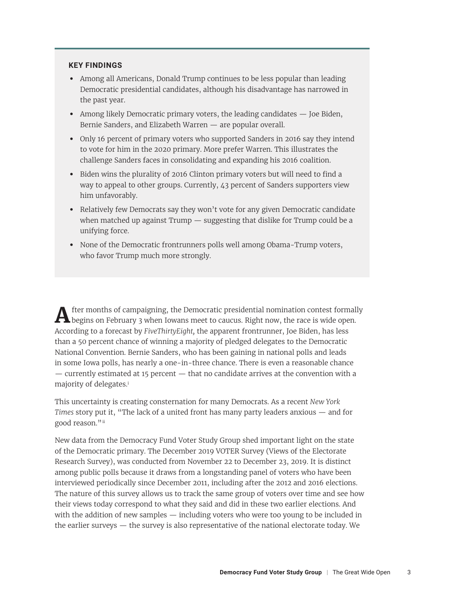#### <span id="page-2-0"></span>**KEY FINDINGS**

- **•** Among all Americans, Donald Trump continues to be less popular than leading Democratic presidential candidates, although his disadvantage has narrowed in the past year.
- **•** Among likely Democratic primary voters, the leading candidates Joe Biden, Bernie Sanders, and Elizabeth Warren — are popular overall.
- **•** Only 16 percent of primary voters who supported Sanders in 2016 say they intend to vote for him in the 2020 primary. More prefer Warren. This illustrates the challenge Sanders faces in consolidating and expanding his 2016 coalition.
- **•** Biden wins the plurality of 2016 Clinton primary voters but will need to find a way to appeal to other groups. Currently, 43 percent of Sanders supporters view him unfavorably.
- **•** Relatively few Democrats say they won't vote for any given Democratic candidate when matched up against Trump — suggesting that dislike for Trump could be a unifying force.
- **•** None of the Democratic frontrunners polls well among Obama-Trump voters, who favor Trump much more strongly.

After months of campaigning, the Democratic presidential nomination contest formally<br>begins on February 3 when Iowans meet to caucus. Right now, the race is wide open. According to a forecast by *FiveThirtyEight,* the apparent frontrunner, Joe Biden, has less than a 50 percent chance of winning a majority of pledged delegates to the Democratic National Convention. Bernie Sanders, who has been gaining in national polls and leads in some Iowa polls, has nearly a one-in-three chance. There is even a reasonable chance — currently estimated at 15 percent — that no candidate arrives at the convention with a majority of delegates.[i](#page-10-0)

This uncertainty is creating consternation for many Democrats. As a recent *New York Times* story put it, "The lack of a united front has many party leaders anxious — and for good reason."[ii](#page-10-0)

New data from the Democracy Fund Voter Study Group shed important light on the state of the Democratic primary. The December 2019 VOTER Survey (Views of the Electorate Research Survey), was conducted from November 22 to December 23, 2019. It is distinct among public polls because it draws from a longstanding panel of voters who have been interviewed periodically since December 2011, including after the 2012 and 2016 elections. The nature of this survey allows us to track the same group of voters over time and see how their views today correspond to what they said and did in these two earlier elections. And with the addition of new samples — including voters who were too young to be included in the earlier surveys  $-$  the survey is also representative of the national electorate today. We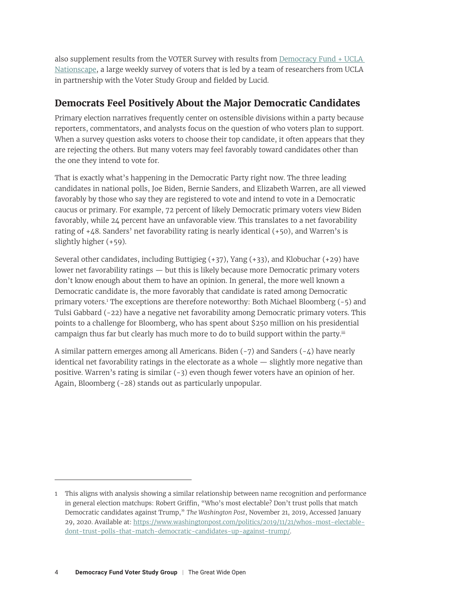<span id="page-3-0"></span>also supplement results from the VOTER Survey with results from Democracy Fund + UCLA [Nationscape,](https://www.voterstudygroup.org/nationscape) a large weekly survey of voters that is led by a team of researchers from UCLA in partnership with the Voter Study Group and fielded by Lucid.

## **Democrats Feel Positively About the Major Democratic Candidates**

Primary election narratives frequently center on ostensible divisions within a party because reporters, commentators, and analysts focus on the question of who voters plan to support. When a survey question asks voters to choose their top candidate, it often appears that they are rejecting the others. But many voters may feel favorably toward candidates other than the one they intend to vote for.

That is exactly what's happening in the Democratic Party right now. The three leading candidates in national polls, Joe Biden, Bernie Sanders, and Elizabeth Warren, are all viewed favorably by those who say they are registered to vote and intend to vote in a Democratic caucus or primary. For example, 72 percent of likely Democratic primary voters view Biden favorably, while 24 percent have an unfavorable view. This translates to a net favorability rating of +48. Sanders' net favorability rating is nearly identical (+50), and Warren's is slightly higher (+59).

Several other candidates, including Buttigieg  $(+37)$ , Yang  $(+33)$ , and Klobuchar  $(+29)$  have lower net favorability ratings — but this is likely because more Democratic primary voters don't know enough about them to have an opinion. In general, the more well known a Democratic candidate is, the more favorably that candidate is rated among Democratic primary voters.1 The exceptions are therefore noteworthy: Both Michael Bloomberg (-5) and Tulsi Gabbard (-22) have a negative net favorability among Democratic primary voters. This points to a challenge for Bloomberg, who has spent about \$250 million on his presidential campaign thus far but clearly has much more to do to build support within the party.<sup>[iii](#page-10-0)</sup>

A similar pattern emerges among all Americans. Biden  $(-7)$  and Sanders  $(-4)$  have nearly identical net favorability ratings in the electorate as a whole — slightly more negative than positive. Warren's rating is similar (-3) even though fewer voters have an opinion of her. Again, Bloomberg (-28) stands out as particularly unpopular.

<sup>1</sup> This aligns with analysis showing a similar relationship between name recognition and performance in general election matchups: Robert Griffin, "Who's most electable? Don't trust polls that match Democratic candidates against Trump," *The Washington Post*, November 21, 2019, Accessed January 29, 2020. Available at: [https://www.washingtonpost.com/politics/2019/11/21/whos-most-electable](https://www.washingtonpost.com/politics/2019/11/21/whos-most-electable-dont-trust-polls-that-match-democratic-candidates-up-against-trump/)[dont-trust-polls-that-match-democratic-candidates-up-against-trump/.](https://www.washingtonpost.com/politics/2019/11/21/whos-most-electable-dont-trust-polls-that-match-democratic-candidates-up-against-trump/)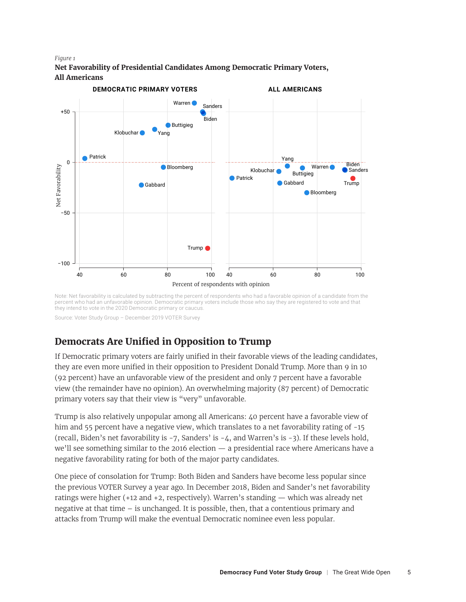#### *Figure 1*

**Net Favorability of Presidential Candidates Among Democratic Primary Voters, All Americans**



Note: Net favorability is calculated by subtracting the percent of respondents who had a favorable opinion of a candidate from the percent who had an unfavorable opinion. Democratic primary voters include those who say they are registered to vote and that they intend to vote in the 2020 Democratic primary or caucus.

Source: Voter Study Group – December 2019 VOTER Survey

## **Democrats Are Unified in Opposition to Trump**

If Democratic primary voters are fairly unified in their favorable views of the leading candidates, they are even more unified in their opposition to President Donald Trump. More than 9 in 10 (92 percent) have an unfavorable view of the president and only 7 percent have a favorable view (the remainder have no opinion). An overwhelming majority (87 percent) of Democratic primary voters say that their view is "very" unfavorable.

Trump is also relatively unpopular among all Americans: 40 percent have a favorable view of him and 55 percent have a negative view, which translates to a net favorability rating of -15 (recall, Biden's net favorability is -7, Sanders' is -4, and Warren's is -3). If these levels hold, we'll see something similar to the 2016 election — a presidential race where Americans have a negative favorability rating for both of the major party candidates.

One piece of consolation for Trump: Both Biden and Sanders have become less popular since the previous VOTER Survey a year ago. In December 2018, Biden and Sander's net favorability ratings were higher (+12 and +2, respectively). Warren's standing — which was already net negative at that time – is unchanged. It is possible, then, that a contentious primary and attacks from Trump will make the eventual Democratic nominee even less popular.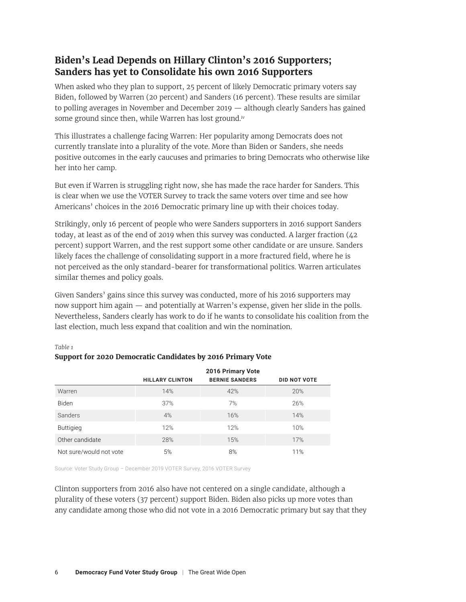## <span id="page-5-0"></span>**Biden's Lead Depends on Hillary Clinton's 2016 Supporters; Sanders has yet to Consolidate his own 2016 Supporters**

When asked who they plan to support, 25 percent of likely Democratic primary voters say Biden, followed by Warren (20 percent) and Sanders (16 percent). These results are similar to polling averages in November and December 2019 — although clearly Sanders has gained some ground since then, while Warren has lost ground.<sup>[iv](#page-10-0)</sup>

This illustrates a challenge facing Warren: Her popularity among Democrats does not currently translate into a plurality of the vote. More than Biden or Sanders, she needs positive outcomes in the early caucuses and primaries to bring Democrats who otherwise like her into her camp.

But even if Warren is struggling right now, she has made the race harder for Sanders. This is clear when we use the VOTER Survey to track the same voters over time and see how Americans' choices in the 2016 Democratic primary line up with their choices today.

Strikingly, only 16 percent of people who were Sanders supporters in 2016 support Sanders today, at least as of the end of 2019 when this survey was conducted. A larger fraction (42 percent) support Warren, and the rest support some other candidate or are unsure. Sanders likely faces the challenge of consolidating support in a more fractured field, where he is not perceived as the only standard-bearer for transformational politics. Warren articulates similar themes and policy goals.

Given Sanders' gains since this survey was conducted, more of his 2016 supporters may now support him again — and potentially at Warren's expense, given her slide in the polls. Nevertheless, Sanders clearly has work to do if he wants to consolidate his coalition from the last election, much less expand that coalition and win the nomination.

|                         | 2016 Primary Vote      |                       |                     |  |  |
|-------------------------|------------------------|-----------------------|---------------------|--|--|
|                         | <b>HILLARY CLINTON</b> | <b>BERNIE SANDERS</b> | <b>DID NOT VOTE</b> |  |  |
| Warren                  | 14%                    | 42%                   | 20%                 |  |  |
| <b>Biden</b>            | 37%                    | 7%                    | 26%                 |  |  |
| Sanders                 | 4%                     | 16%                   | 14%                 |  |  |
| <b>Buttigieg</b>        | 12%                    | 12%                   | 10%                 |  |  |
| Other candidate         | 28%                    | 15%                   | 17%                 |  |  |
| Not sure/would not vote | 5%                     | 8%                    | 11%                 |  |  |

#### *Table 1*

| Support for 2020 Democratic Candidates by 2016 Primary Vote |  |  |
|-------------------------------------------------------------|--|--|
|                                                             |  |  |

Source: Voter Study Group – December 2019 VOTER Survey, 2016 VOTER Survey

Clinton supporters from 2016 also have not centered on a single candidate, although a plurality of these voters (37 percent) support Biden. Biden also picks up more votes than any candidate among those who did not vote in a 2016 Democratic primary but say that they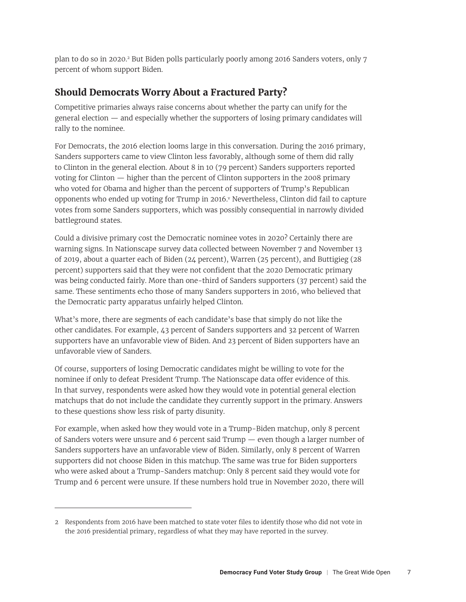<span id="page-6-0"></span>plan to do so in 2020.2 But Biden polls particularly poorly among 2016 Sanders voters, only 7 percent of whom support Biden.

## **Should Democrats Worry About a Fractured Party?**

Competitive primaries always raise concerns about whether the party can unify for the general election — and especially whether the supporters of losing primary candidates will rally to the nominee.

For Democrats, the 2016 election looms large in this conversation. During the 2016 primary, Sanders supporters came to view Clinton less favorably, although some of them did rally to Clinton in the general election. About 8 in 10 (79 percent) Sanders supporters reported voting for Clinton — higher than the percent of Clinton supporters in the 2008 primary who voted for Obama and higher than the percent of supporters of Trump's Republican opponents who ended up voting for Trump in 2016.<sup>v</sup> Nevertheless, Clinton did fail to capture votes from some Sanders supporters, which was possibly consequential in narrowly divided battleground states.

Could a divisive primary cost the Democratic nominee votes in 2020? Certainly there are warning signs. In Nationscape survey data collected between November 7 and November 13 of 2019, about a quarter each of Biden (24 percent), Warren (25 percent), and Buttigieg (28 percent) supporters said that they were not confident that the 2020 Democratic primary was being conducted fairly. More than one-third of Sanders supporters (37 percent) said the same. These sentiments echo those of many Sanders supporters in 2016, who believed that the Democratic party apparatus unfairly helped Clinton.

What's more, there are segments of each candidate's base that simply do not like the other candidates. For example, 43 percent of Sanders supporters and 32 percent of Warren supporters have an unfavorable view of Biden. And 23 percent of Biden supporters have an unfavorable view of Sanders.

Of course, supporters of losing Democratic candidates might be willing to vote for the nominee if only to defeat President Trump. The Nationscape data offer evidence of this. In that survey, respondents were asked how they would vote in potential general election matchups that do not include the candidate they currently support in the primary. Answers to these questions show less risk of party disunity.

For example, when asked how they would vote in a Trump-Biden matchup, only 8 percent of Sanders voters were unsure and 6 percent said Trump — even though a larger number of Sanders supporters have an unfavorable view of Biden. Similarly, only 8 percent of Warren supporters did not choose Biden in this matchup. The same was true for Biden supporters who were asked about a Trump-Sanders matchup: Only 8 percent said they would vote for Trump and 6 percent were unsure. If these numbers hold true in November 2020, there will

<sup>2</sup> Respondents from 2016 have been matched to state voter files to identify those who did not vote in the 2016 presidential primary, regardless of what they may have reported in the survey.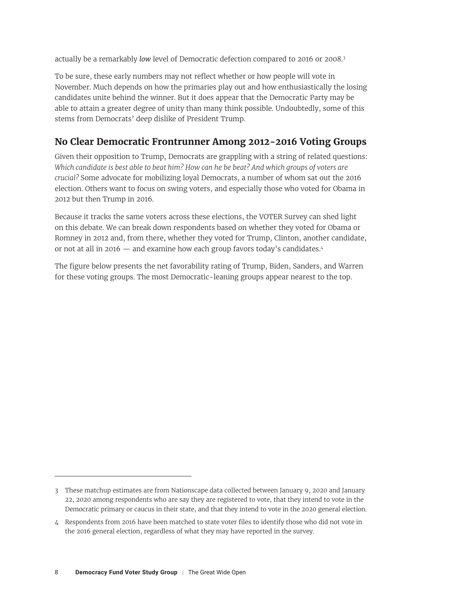actually be a remarkably *low* level of Democratic defection compared to 2016 or 2008.3

To be sure, these early numbers may not reflect whether or how people will vote in November. Much depends on how the primaries play out and how enthusiastically the losing candidates unite behind the winner. But it does appear that the Democratic Party may be able to attain a greater degree of unity than many think possible. Undoubtedly, some of this stems from Democrats' deep dislike of President Trump.

## **No Clear Democratic Frontrunner Among 2012-2016 Voting Groups**

Given their opposition to Trump, Democrats are grappling with a string of related questions: *Which candidate is best able to beat him? How can he be beat? And which groups of voters are crucial?* Some advocate for mobilizing loyal Democrats, a number of whom sat out the 2016 election. Others want to focus on swing voters, and especially those who voted for Obama in 2012 but then Trump in 2016.

Because it tracks the same voters across these elections, the VOTER Survey can shed light on this debate. We can break down respondents based on whether they voted for Obama or Romney in 2012 and, from there, whether they voted for Trump, Clinton, another candidate, or not at all in 2016 — and examine how each group favors today's candidates.4

The figure below presents the net favorability rating of Trump, Biden, Sanders, and Warren for these voting groups. The most Democratic-leaning groups appear nearest to the top.

<sup>3</sup> These matchup estimates are from Nationscape data collected between January 9, 2020 and January 22, 2020 among respondents who are say they are registered to vote, that they intend to vote in the Democratic primary or caucus in their state, and that they intend to vote in the 2020 general election.

<sup>4</sup> Respondents from 2016 have been matched to state voter files to identify those who did not vote in the 2016 general election, regardless of what they may have reported in the survey.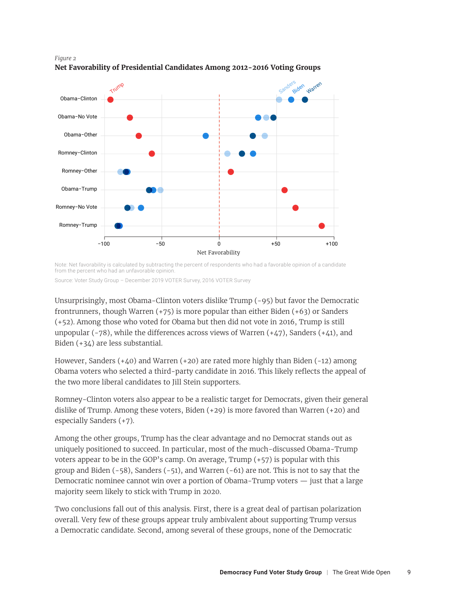

#### *Figure 2* **Net Favorability of Presidential Candidates Among 2012-2016 Voting Groups**

Note: Net favorability is calculated by subtracting the percent of respondents who had a favorable opinion of a candidate from the percent who had an unfavorable opinion.

Source: Voter Study Group – December 2019 VOTER Survey, 2016 VOTER Survey

Unsurprisingly, most Obama-Clinton voters dislike Trump (-95) but favor the Democratic frontrunners, though Warren  $(+75)$  is more popular than either Biden  $(+63)$  or Sanders (+52). Among those who voted for Obama but then did not vote in 2016, Trump is still unpopular  $(-78)$ , while the differences across views of Warren  $(+47)$ , Sanders  $(+41)$ , and Biden (+34) are less substantial.

However, Sanders  $(+40)$  and Warren  $(+20)$  are rated more highly than Biden  $(-12)$  among Obama voters who selected a third-party candidate in 2016. This likely reflects the appeal of the two more liberal candidates to Jill Stein supporters.

Romney-Clinton voters also appear to be a realistic target for Democrats, given their general dislike of Trump. Among these voters, Biden (+29) is more favored than Warren (+20) and especially Sanders (+7).

Among the other groups, Trump has the clear advantage and no Democrat stands out as uniquely positioned to succeed. In particular, most of the much-discussed Obama-Trump voters appear to be in the GOP's camp. On average, Trump  $(+57)$  is popular with this group and Biden  $(-58)$ , Sanders  $(-51)$ , and Warren  $(-61)$  are not. This is not to say that the Democratic nominee cannot win over a portion of Obama-Trump voters — just that a large majority seem likely to stick with Trump in 2020.

Two conclusions fall out of this analysis. First, there is a great deal of partisan polarization overall. Very few of these groups appear truly ambivalent about supporting Trump versus a Democratic candidate. Second, among several of these groups, none of the Democratic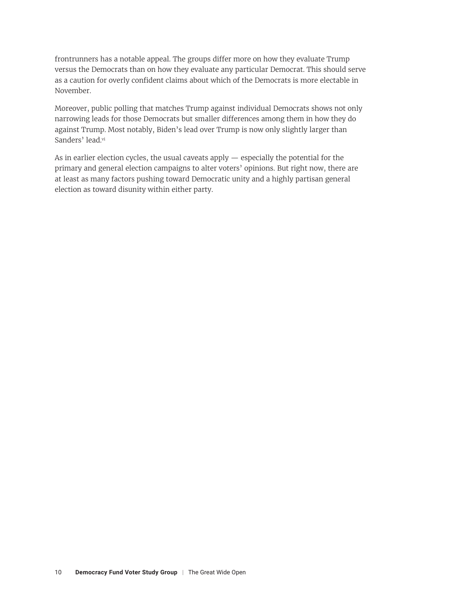<span id="page-9-0"></span>frontrunners has a notable appeal. The groups differ more on how they evaluate Trump versus the Democrats than on how they evaluate any particular Democrat. This should serve as a caution for overly confident claims about which of the Democrats is more electable in November.

Moreover, public polling that matches Trump against individual Democrats shows not only narrowing leads for those Democrats but smaller differences among them in how they do against Trump. Most notably, Biden's lead over Trump is now only slightly larger than Sanders' lead.[vi](#page-10-0)

As in earlier election cycles, the usual caveats apply — especially the potential for the primary and general election campaigns to alter voters' opinions. But right now, there are at least as many factors pushing toward Democratic unity and a highly partisan general election as toward disunity within either party.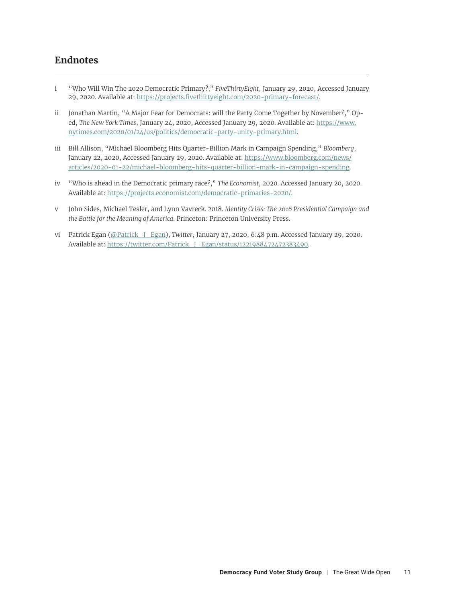### <span id="page-10-0"></span>**Endnotes**

- [i](#page-2-0) "Who Will Win The 2020 Democratic Primary?," *FiveThirtyEight*, January 29, 2020, Accessed January 29, 2020. Available at: <https://projects.fivethirtyeight.com/2020-primary-forecast/>.
- [ii](#page-2-0) Jonathan Martin, "A Major Fear for Democrats: will the Party Come Together by November?," Oped, *The New York Times*, January 24, 2020, Accessed January 29, 2020. Available at: [https://www.](https://www.nytimes.com/2020/01/24/us/politics/democratic-party-unity-primary.html) [nytimes.com/2020/01/24/us/politics/democratic-party-unity-primary.html](https://www.nytimes.com/2020/01/24/us/politics/democratic-party-unity-primary.html).
- [iii](#page-3-0) Bill Allison, "Michael Bloomberg Hits Quarter-Billion Mark in Campaign Spending," *Bloomberg*, January 22, 2020, Accessed January 29, 2020. Available at: [https://www.bloomberg.com/news/](https://www.bloomberg.com/news/articles/2020-01-22/michael-bloomberg-hits-quarter-billion-mark-in-campaign-spending) [articles/2020-01-22/michael-bloomberg-hits-quarter-billion-mark-in-campaign-spending](https://www.bloomberg.com/news/articles/2020-01-22/michael-bloomberg-hits-quarter-billion-mark-in-campaign-spending).
- [iv](#page-5-0) "Who is ahead in the Democratic primary race?," *The Economist*, 2020. Accessed January 20, 2020. Available at: https://projects.economist.com/democratic-primaries-2020/.
- [v](#page-6-0) John Sides, Michael Tesler, and Lynn Vavreck. 2018. *Identity Crisis: The 2016 Presidential Campaign and the Battle for the Meaning of America*. Princeton: Princeton University Press.
- [vi](#page-9-0) Patrick Egan [\(@Patrick\\_J\\_Egan\)](https://twitter.com/Patrick_J_Egan), *Twitter*, January 27, 2020, 6:48 p.m. Accessed January 29, 2020. Available at: https://twitter.com/Patrick J\_Egan/status/1221988472472383490.